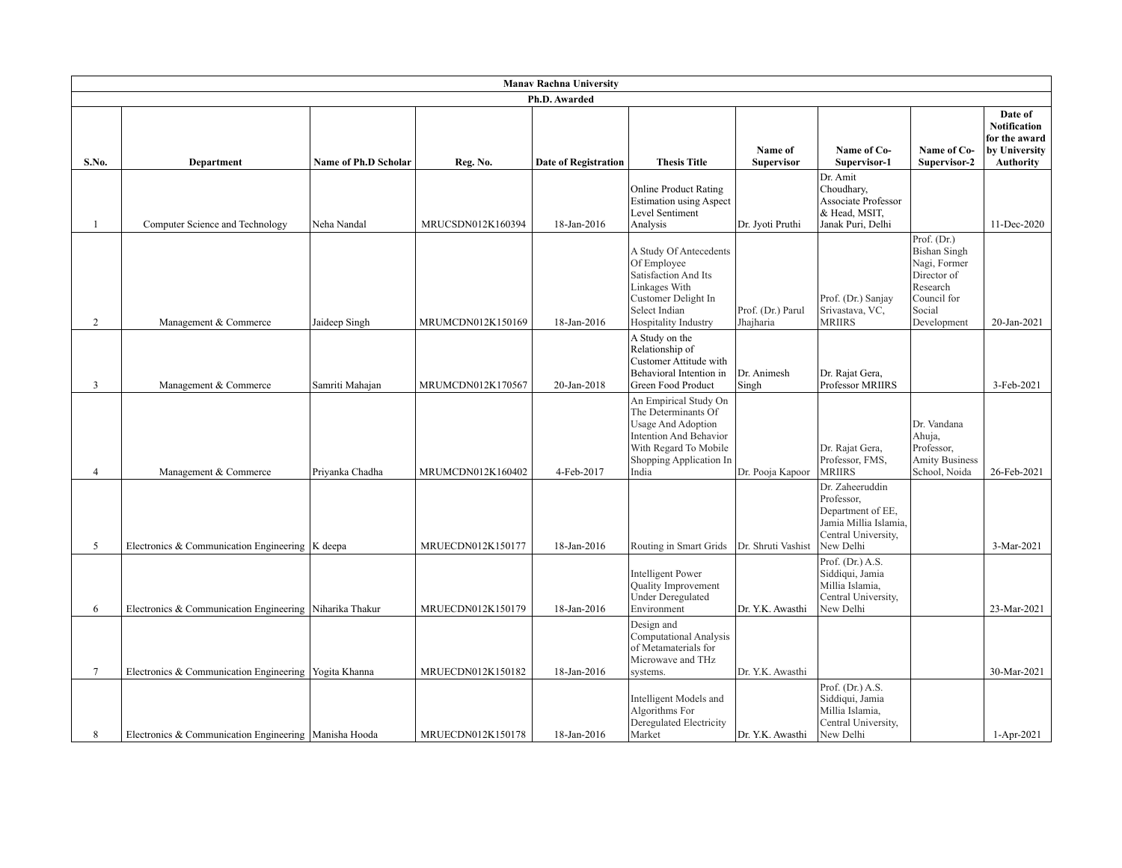| <b>Manav Rachna University</b> |                                                         |                             |                   |                             |                                                                                                                                                                  |                                |                                                                                                                 |                                                                                                                       |                                                                                      |
|--------------------------------|---------------------------------------------------------|-----------------------------|-------------------|-----------------------------|------------------------------------------------------------------------------------------------------------------------------------------------------------------|--------------------------------|-----------------------------------------------------------------------------------------------------------------|-----------------------------------------------------------------------------------------------------------------------|--------------------------------------------------------------------------------------|
| Ph.D. Awarded                  |                                                         |                             |                   |                             |                                                                                                                                                                  |                                |                                                                                                                 |                                                                                                                       |                                                                                      |
| S.No.                          | Department                                              | <b>Name of Ph.D Scholar</b> | Reg. No.          | <b>Date of Registration</b> | <b>Thesis Title</b>                                                                                                                                              | Name of<br><b>Supervisor</b>   | Name of Co-<br>Supervisor-1                                                                                     | Name of Co-<br>Supervisor-2                                                                                           | Date of<br><b>Notification</b><br>for the award<br>by University<br><b>Authority</b> |
| 1                              | Computer Science and Technology                         | Neha Nandal                 | MRUCSDN012K160394 | 18-Jan-2016                 | <b>Online Product Rating</b><br><b>Estimation using Aspect</b><br>Level Sentiment<br>Analysis                                                                    | Dr. Jyoti Pruthi               | Dr. Amit<br>Choudhary,<br>Associate Professor<br>& Head, MSIT,<br>Janak Puri, Delhi                             |                                                                                                                       | 11-Dec-2020                                                                          |
| 2                              | Management & Commerce                                   | Jaideep Singh               | MRUMCDN012K150169 | 18-Jan-2016                 | A Study Of Antecedents<br>Of Employee<br>Satisfaction And Its<br>Linkages With<br>Customer Delight In<br>Select Indian<br>Hospitality Industry                   | Prof. (Dr.) Parul<br>Jhajharia | Prof. (Dr.) Sanjay<br>Srivastava, VC,<br><b>MRIIRS</b>                                                          | Prof. (Dr.)<br><b>Bishan Singh</b><br>Nagi, Former<br>Director of<br>Research<br>Council for<br>Social<br>Development | 20-Jan-2021                                                                          |
| 3                              | Management & Commerce                                   | Samriti Mahajan             | MRUMCDN012K170567 | 20-Jan-2018                 | A Study on the<br>Relationship of<br>Customer Attitude with<br>Behavioral Intention in<br>Green Food Product                                                     | Dr. Animesh<br>Singh           | Dr. Rajat Gera,<br>Professor MRIIRS                                                                             |                                                                                                                       | 3-Feb-2021                                                                           |
| $\overline{4}$                 | Management & Commerce                                   | Priyanka Chadha             | MRUMCDN012K160402 | 4-Feb-2017                  | An Empirical Study On<br>The Determinants Of<br><b>Usage And Adoption</b><br>Intention And Behavior<br>With Regard To Mobile<br>Shopping Application In<br>India | Dr. Pooja Kapoor               | Dr. Rajat Gera,<br>Professor, FMS,<br><b>MRIIRS</b>                                                             | Dr. Vandana<br>Ahuja,<br>Professor,<br><b>Amity Business</b><br>School, Noida                                         | 26-Feb-2021                                                                          |
| 5                              | Electronics & Communication Engineering $ K $ deepa     |                             | MRUECDN012K150177 | 18-Jan-2016                 | Routing in Smart Grids                                                                                                                                           | Dr. Shruti Vashist             | Dr. Zaheeruddin<br>Professor,<br>Department of EE,<br>Jamia Millia Islamia,<br>Central University,<br>New Delhi |                                                                                                                       | 3-Mar-2021                                                                           |
| 6                              | Electronics & Communication Engineering Niharika Thakur |                             | MRUECDN012K150179 | 18-Jan-2016                 | <b>Intelligent Power</b><br>Quality Improvement<br><b>Under Deregulated</b><br>Environment                                                                       | Dr. Y.K. Awasthi               | Prof. $(Dr.)$ A.S.<br>Siddiqui, Jamia<br>Millia Islamia,<br>Central University,<br>New Delhi                    |                                                                                                                       | 23-Mar-2021                                                                          |
| $\tau$                         | Electronics & Communication Engineering   Yogita Khanna |                             | MRUECDN012K150182 | 18-Jan-2016                 | Design and<br><b>Computational Analysis</b><br>of Metamaterials for<br>Microwave and THz<br>systems.                                                             | Dr. Y.K. Awasthi               |                                                                                                                 |                                                                                                                       | 30-Mar-2021                                                                          |
| 8                              | Electronics & Communication Engineering   Manisha Hooda |                             | MRUECDN012K150178 | 18-Jan-2016                 | Intelligent Models and<br>Algorithms For<br>Deregulated Electricity<br>Market                                                                                    | Dr. Y.K. Awasthi               | Prof. $(Dr.)$ A.S.<br>Siddiqui, Jamia<br>Millia Islamia,<br>Central University,<br>New Delhi                    |                                                                                                                       | 1-Apr-2021                                                                           |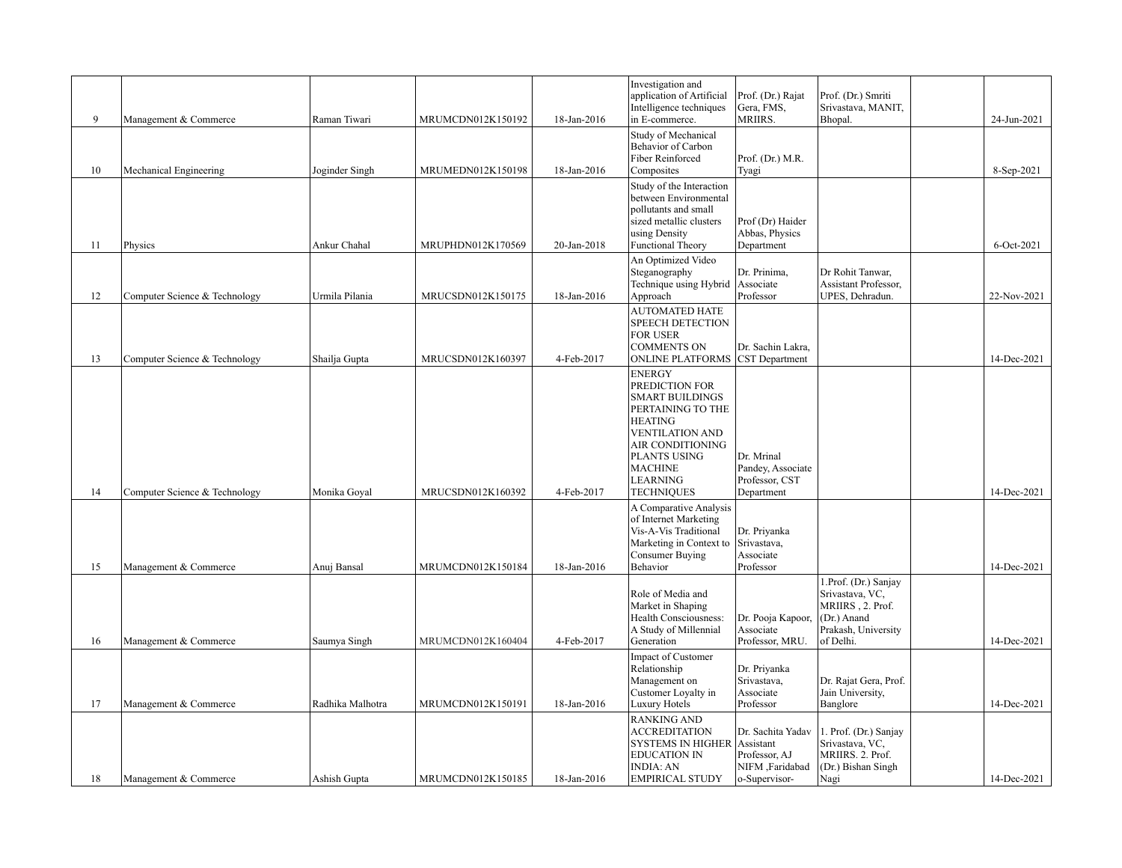|    |                               |                  |                   |             | Investigation and<br>application of Artificial<br>Intelligence techniques                                                                                                                                                | Prof. (Dr.) Rajat<br>Gera, FMS,                                        | Prof. (Dr.) Smriti<br>Srivastava, MANIT,                                                                         |             |
|----|-------------------------------|------------------|-------------------|-------------|--------------------------------------------------------------------------------------------------------------------------------------------------------------------------------------------------------------------------|------------------------------------------------------------------------|------------------------------------------------------------------------------------------------------------------|-------------|
| 9  | Management & Commerce         | Raman Tiwari     | MRUMCDN012K150192 | 18-Jan-2016 | in E-commerce.                                                                                                                                                                                                           | MRIIRS.                                                                | Bhopal.                                                                                                          | 24-Jun-2021 |
| 10 | Mechanical Engineering        | Joginder Singh   | MRUMEDN012K150198 | 18-Jan-2016 | Study of Mechanical<br>Behavior of Carbon<br><b>Fiber Reinforced</b><br>Composites                                                                                                                                       | Prof. (Dr.) M.R.<br>Tyagi                                              |                                                                                                                  | 8-Sep-2021  |
|    |                               |                  |                   |             | Study of the Interaction<br>between Environmental<br>pollutants and small<br>sized metallic clusters<br>using Density                                                                                                    | Prof (Dr) Haider<br>Abbas, Physics                                     |                                                                                                                  |             |
| 11 | Physics                       | Ankur Chahal     | MRUPHDN012K170569 | 20-Jan-2018 | <b>Functional Theory</b>                                                                                                                                                                                                 | Department                                                             |                                                                                                                  | 6-Oct-2021  |
| 12 | Computer Science & Technology | Urmila Pilania   | MRUCSDN012K150175 | 18-Jan-2016 | An Optimized Video<br>Steganography<br>Technique using Hybrid<br>Approach                                                                                                                                                | Dr. Prinima,<br>Associate<br>Professor                                 | Dr Rohit Tanwar,<br>Assistant Professor.<br>UPES, Dehradun.                                                      | 22-Nov-2021 |
| 13 | Computer Science & Technology | Shailja Gupta    | MRUCSDN012K160397 | 4-Feb-2017  | <b>AUTOMATED HATE</b><br><b>SPEECH DETECTION</b><br><b>FOR USER</b><br><b>COMMENTS ON</b><br><b>ONLINE PLATFORMS CST Department</b>                                                                                      | Dr. Sachin Lakra,                                                      |                                                                                                                  | 14-Dec-2021 |
| 14 | Computer Science & Technology | Monika Goyal     | MRUCSDN012K160392 | 4-Feb-2017  | <b>ENERGY</b><br>PREDICTION FOR<br><b>SMART BUILDINGS</b><br>PERTAINING TO THE<br><b>HEATING</b><br><b>VENTILATION AND</b><br>AIR CONDITIONING<br>PLANTS USING<br><b>MACHINE</b><br><b>LEARNING</b><br><b>TECHNIQUES</b> | Dr. Mrinal<br>Pandey, Associate<br>Professor, CST<br>Department        |                                                                                                                  | 14-Dec-2021 |
| 15 | Management & Commerce         | Anuj Bansal      | MRUMCDN012K150184 | 18-Jan-2016 | A Comparative Analysis<br>of Internet Marketing<br>Vis-A-Vis Traditional<br>Marketing in Context to<br>Consumer Buying<br>Behavior                                                                                       | Dr. Priyanka<br>Srivastava,<br>Associate<br>Professor                  |                                                                                                                  | 14-Dec-2021 |
| 16 | Management & Commerce         | Saumya Singh     | MRUMCDN012K160404 | 4-Feb-2017  | Role of Media and<br>Market in Shaping<br>Health Consciousness:<br>A Study of Millennial<br>Generation                                                                                                                   | Dr. Pooja Kapoor,<br>Associate<br>Professor, MRU                       | 1.Prof. (Dr.) Sanjay<br>Srivastava, VC,<br>MRIIRS, 2. Prof.<br>$(Dr.)$ Anand<br>Prakash, University<br>of Delhi. | 14-Dec-2021 |
|    |                               |                  |                   |             | Impact of Customer<br>Relationship<br>Management on<br>Customer Loyalty in                                                                                                                                               | Dr. Priyanka<br>Srivastava,<br>Associate                               | Dr. Rajat Gera, Prof.<br>Jain University,                                                                        |             |
| 17 | Management & Commerce         | Radhika Malhotra | MRUMCDN012K150191 | 18-Jan-2016 | Luxury Hotels                                                                                                                                                                                                            | Professor                                                              | Banglore                                                                                                         | 14-Dec-2021 |
| 18 | Management & Commerce         | Ashish Gupta     | MRUMCDN012K150185 | 18-Jan-2016 | <b>RANKING AND</b><br><b>ACCREDITATION</b><br><b>SYSTEMS IN HIGHER Assistant</b><br><b>EDUCATION IN</b><br><b>INDIA: AN</b><br>EMPIRICAL STUDY                                                                           | Dr. Sachita Yadav<br>Professor, AJ<br>NIFM ,Faridabad<br>o-Supervisor- | 1. Prof. (Dr.) Sanjay<br>Srivastava, VC,<br>MRIIRS. 2. Prof.<br>(Dr.) Bishan Singh<br>Nagi                       | 14-Dec-2021 |